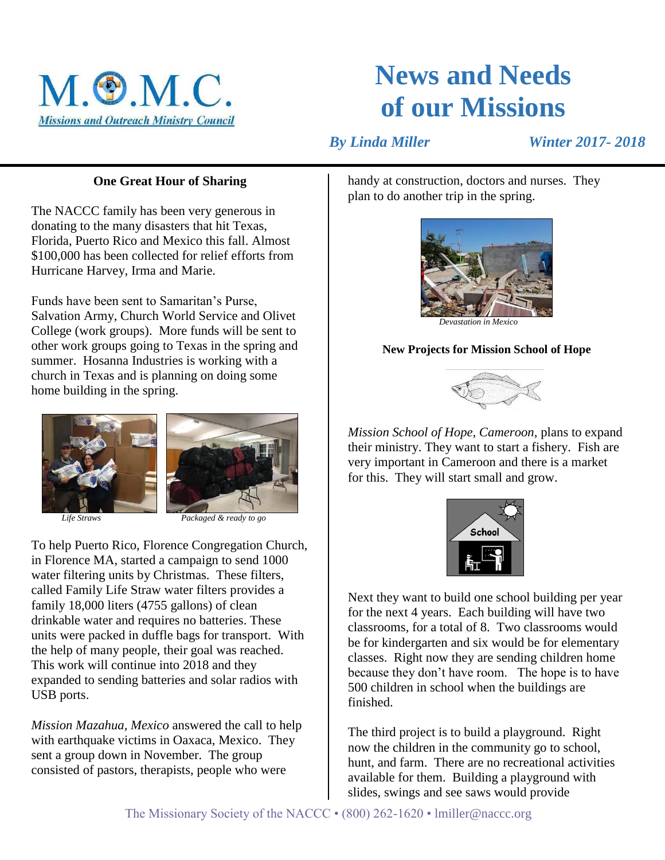

# **News and Needs of our Missions**

 *By Linda Miller Winter 2017- 2018*

## **One Great Hour of Sharing**

The NACCC family has been very generous in donating to the many disasters that hit Texas, Florida, Puerto Rico and Mexico this fall. Almost \$100,000 has been collected for relief efforts from Hurricane Harvey, Irma and Marie.

Funds have been sent to Samaritan's Purse, Salvation Army, Church World Service and Olivet College (work groups). More funds will be sent to other work groups going to Texas in the spring and summer. Hosanna Industries is working with a church in Texas and is planning on doing some home building in the spring.





 *Life Straws Packaged & ready to go*

To help Puerto Rico, Florence Congregation Church, in Florence MA, started a campaign to send 1000 water filtering units by Christmas. These filters, called Family Life Straw water filters provides a family 18,000 liters (4755 gallons) of clean drinkable water and requires no batteries. These units were packed in duffle bags for transport. With the help of many people, their goal was reached. This work will continue into 2018 and they expanded to sending batteries and solar radios with USB ports.

*Mission Mazahua, Mexico* answered the call to help with earthquake victims in Oaxaca, Mexico. They sent a group down in November. The group consisted of pastors, therapists, people who were

handy at construction, doctors and nurses. They plan to do another trip in the spring.



 *Devastation in Mexico*

#### **New Projects for Mission School of Hope**



*Mission School of Hope, Cameroon,* plans to expand their ministry. They want to start a fishery. Fish are very important in Cameroon and there is a market for this. They will start small and grow.



Next they want to build one school building per year for the next 4 years. Each building will have two classrooms, for a total of 8. Two classrooms would be for kindergarten and six would be for elementary classes. Right now they are sending children home because they don't have room. The hope is to have 500 children in school when the buildings are finished.

The third project is to build a playground. Right now the children in the community go to school, hunt, and farm. There are no recreational activities available for them. Building a playground with slides, swings and see saws would provide